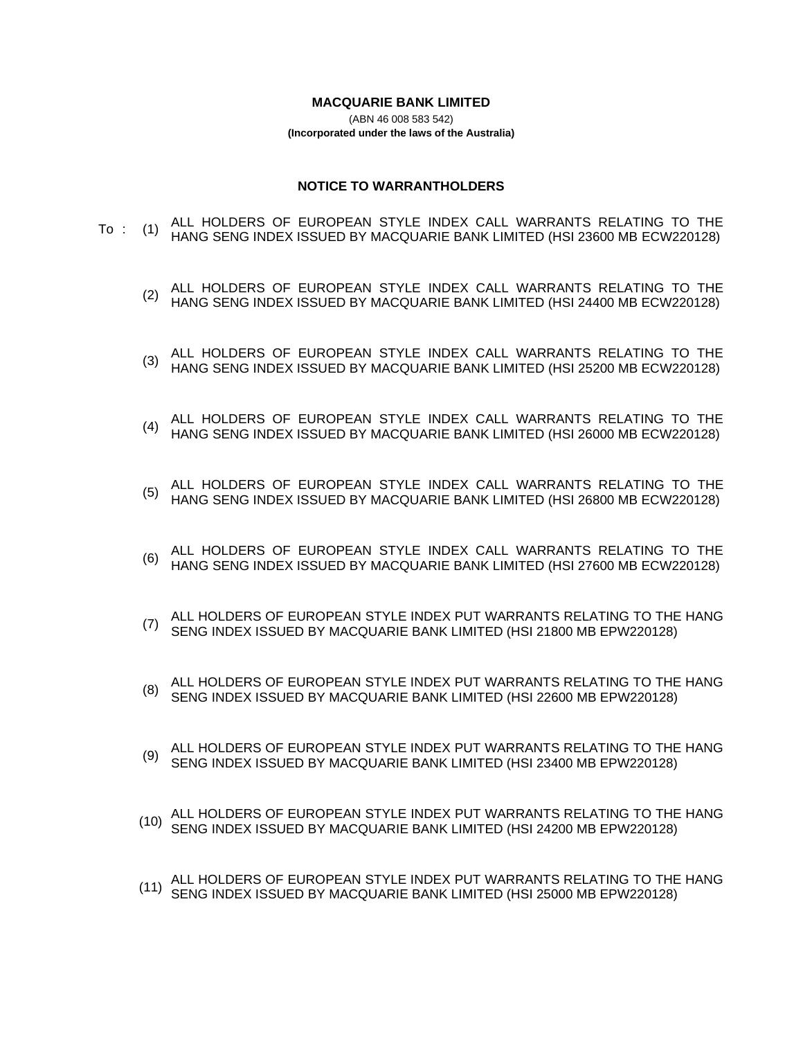#### **MACQUARIE BANK LIMITED**

(ABN 46 008 583 542) **(Incorporated under the laws of the Australia)**

#### **NOTICE TO WARRANTHOLDERS**

- To : (1) ALL HOLDERS OF EUROPEAN STYLE INDEX CALL WARRANTS RELATING TO THE HANG SENG INDEX ISSUED BY MACQUARIE BANK LIMITED (HSI 23600 MB ECW220128)
	- (2) ALL HOLDERS OF EUROPEAN STYLE INDEX CALL WARRANTS RELATING TO THE (2) LIANO STAIC INDEX LESLIED BY MACQUARIE BANK LIMITED (HSL 24400 MB ECM220128) HANG SENG INDEX ISSUED BY MACQUARIE BANK LIMITED (HSI 24400 MB ECW220128)
	- (3) ALL HOLDERS OF EUROPEAN STYLE INDEX CALL WARRANTS RELATING TO THE (4) HANG SENG INDEX ISSUED BY MACQUARITE BANK LIMITED (HSL 25200 MB ECM220128) HANG SENG INDEX ISSUED BY MACQUARIE BANK LIMITED (HSI 25200 MB ECW220128)
	- (4) ALL HOLDERS OF EUROPEAN STYLE INDEX CALL WARRANTS RELATING TO THE HANG SENG INDEX ISSUED BY MACQUARIE BANK LIMITED (HSI 26000 MB ECW220128)
	- (5) ALL HOLDERS OF EUROPEAN STYLE INDEX CALL WARRANTS RELATING TO THE HANG SENG INDEX ISSUED BY MACQUARIE BANK LIMITED (HSI 26800 MB ECW220128)
	- (6) ALL HOLDERS OF EUROPEAN STYLE INDEX CALL WARRANTS RELATING TO THE HANG SENG INDEX ISSUED BY MACQUARIE BANK LIMITED (HSI 27600 MB ECW220128)
	- (7) ALL HOLDERS OF EUROPEAN STYLE INDEX PUT WARRANTS RELATING TO THE HANG SENG INDEX ISSUED BY MACQUARIE BANK LIMITED (HSI 21800 MB EPW220128)
	- (8) ALL HOLDERS OF EUROPEAN STYLE INDEX PUT WARRANTS RELATING TO THE HANG SENG INDEX ISSUED BY MACQUARIE BANK LIMITED (HSI 22600 MB EPW220128)
	- (9) ALL HOLDERS OF EUROPEAN STYLE INDEX PUT WARRANTS RELATING TO THE HANG SENG INDEX ISSUED BY MACQUARIE BANK LIMITED (HSI 23400 MB EPW220128)
	- (10) ALL HOLDERS OF EUROPEAN STYLE INDEX PUT WARRANTS RELATING TO THE HANG SENG INDEX ISSUED BY MACQUARIE BANK LIMITED (HSI 24200 MB EPW220128)
	- (11) ALL HOLDERS OF EUROPEAN STYLE INDEX PUT WARRANTS RELATING TO THE HANG SENG INDEX ISSUED BY MACQUARIE BANK LIMITED (HSI 25000 MB EPW220128)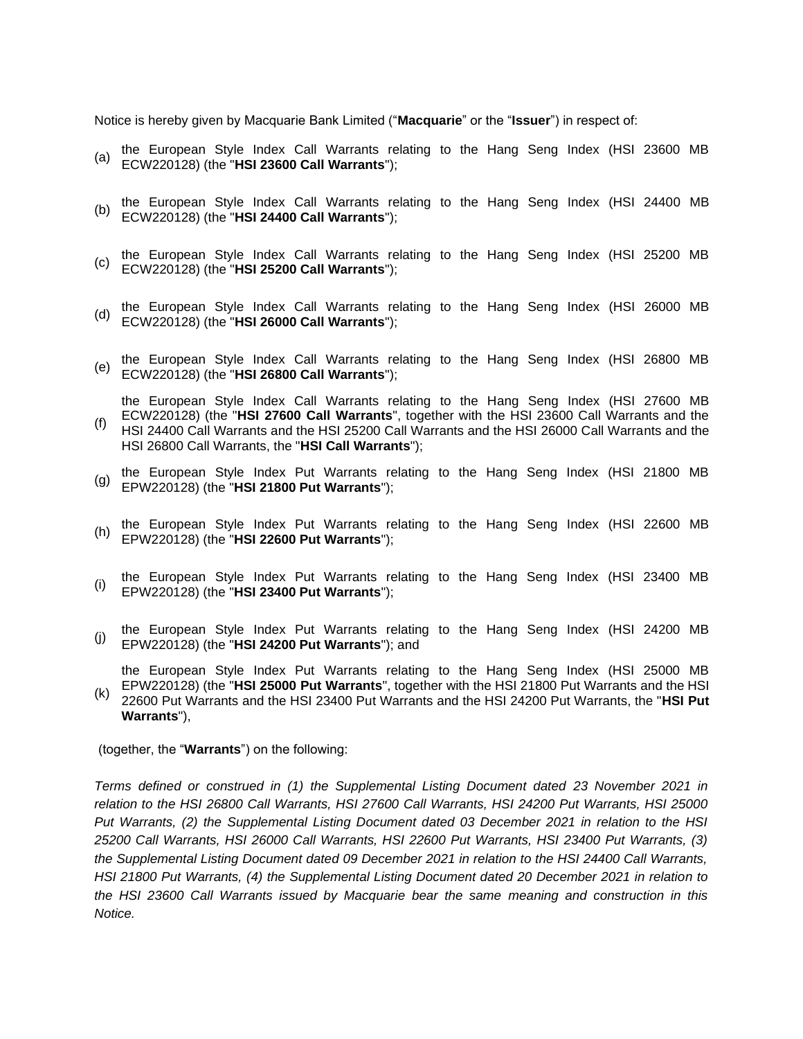Notice is hereby given by Macquarie Bank Limited ("**Macquarie**" or the "**Issuer**") in respect of:

- (a) the European Style Index Call Warrants relating to the Hang Seng Index (HSI 23600 MB ECW220128) (the "**HSI 23600 Call Warrants**");
- (b) the European Style Index Call Warrants relating to the Hang Seng Index (HSI 24400 MB ECW220128) (the "**HSI 24400 Call Warrants**");
- (c) the European Style Index Call Warrants relating to the Hang Seng Index (HSI 25200 MB ECW220128) (the "**HSI 25200 Call Warrants**");
- (d) the European Style Index Call Warrants relating to the Hang Seng Index (HSI 26000 MB ECW220128) (the "**HSI 26000 Call Warrants**");
- the European Style Index Call Warrants relating to the Hang Seng Index (HSI 26800 MB ECW220128) (the "**HSI 26800 Call Warrants**");

(f) the European Style Index Call Warrants relating to the Hang Seng Index (HSI 27600 MB ECW220128) (the "**HSI 27600 Call Warrants**", together with the HSI 23600 Call Warrants and the HSI 24400 Call Warrants and the HSI 25200 Call Warrants and the HSI 26000 Call Warrants and the HSI 26800 Call Warrants, the "**HSI Call Warrants**");

- (g) the European Style Index Put Warrants relating to the Hang Seng Index (HSI 21800 MB EPW220128) (the "**HSI 21800 Put Warrants**");
- the European Style Index Put Warrants relating to the Hang Seng Index (HSI 22600 MB EPW220128) (the "**HSI 22600 Put Warrants**");
- the European Style Index Put Warrants relating to the Hang Seng Index (HSI 23400 MB EPW220128) (the "**HSI 23400 Put Warrants**");
- the European Style Index Put Warrants relating to the Hang Seng Index (HSI 24200 MB EPW220128) (the "**HSI 24200 Put Warrants**"); and
- the European Style Index Put Warrants relating to the Hang Seng Index (HSI 25000 MB
- (k) EPW220128) (the "**HSI 25000 Put Warrants**", together with the HSI 21800 Put Warrants and the HSI 22600 Put Warrants and the HSI 23400 Put Warrants and the HSI 24200 Put Warrants, the "**HSI Put Warrants**"),

(together, the "**Warrants**") on the following:

*Terms defined or construed in (1) the Supplemental Listing Document dated 23 November 2021 in relation to the HSI 26800 Call Warrants, HSI 27600 Call Warrants, HSI 24200 Put Warrants, HSI 25000 Put Warrants, (2) the Supplemental Listing Document dated 03 December 2021 in relation to the HSI 25200 Call Warrants, HSI 26000 Call Warrants, HSI 22600 Put Warrants, HSI 23400 Put Warrants, (3) the Supplemental Listing Document dated 09 December 2021 in relation to the HSI 24400 Call Warrants, HSI 21800 Put Warrants, (4) the Supplemental Listing Document dated 20 December 2021 in relation to the HSI 23600 Call Warrants issued by Macquarie bear the same meaning and construction in this Notice.*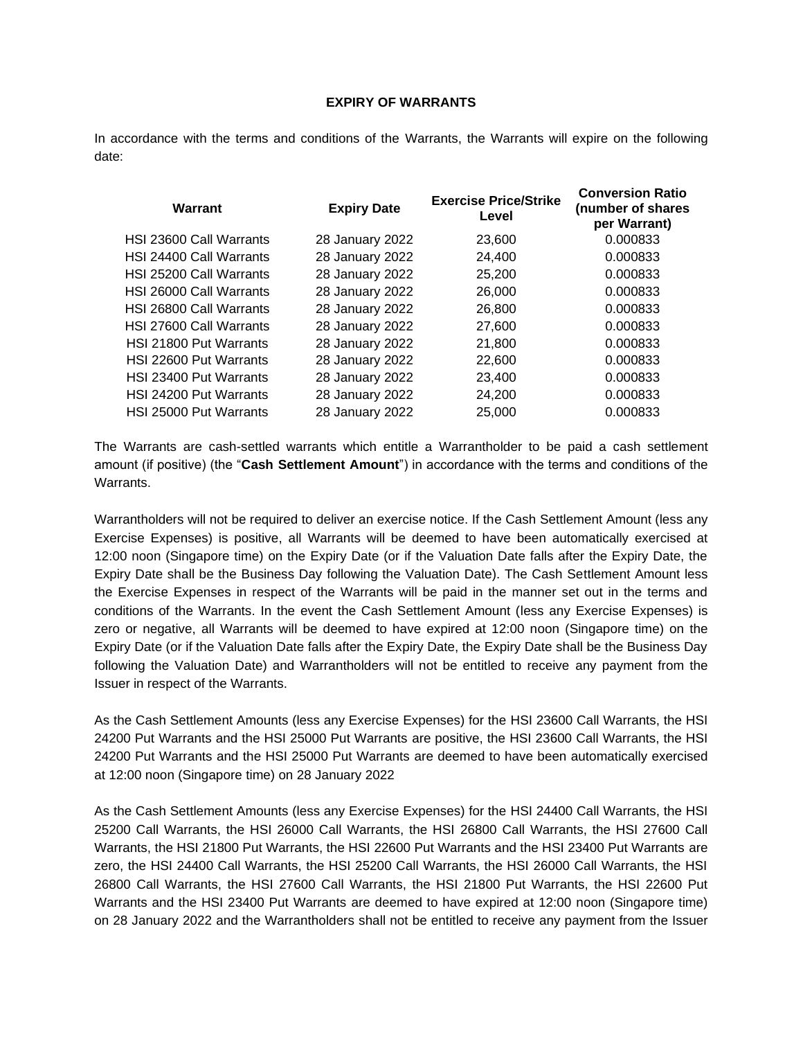# **EXPIRY OF WARRANTS**

In accordance with the terms and conditions of the Warrants, the Warrants will expire on the following date:

| <b>Warrant</b>          | <b>Expiry Date</b> | <b>Exercise Price/Strike</b><br>Level | <b>Conversion Ratio</b><br>(number of shares<br>per Warrant) |
|-------------------------|--------------------|---------------------------------------|--------------------------------------------------------------|
| HSI 23600 Call Warrants | 28 January 2022    | 23,600                                | 0.000833                                                     |
| HSI 24400 Call Warrants | 28 January 2022    | 24,400                                | 0.000833                                                     |
| HSI 25200 Call Warrants | 28 January 2022    | 25,200                                | 0.000833                                                     |
| HSI 26000 Call Warrants | 28 January 2022    | 26,000                                | 0.000833                                                     |
| HSI 26800 Call Warrants | 28 January 2022    | 26,800                                | 0.000833                                                     |
| HSI 27600 Call Warrants | 28 January 2022    | 27,600                                | 0.000833                                                     |
| HSI 21800 Put Warrants  | 28 January 2022    | 21,800                                | 0.000833                                                     |
| HSI 22600 Put Warrants  | 28 January 2022    | 22,600                                | 0.000833                                                     |
| HSI 23400 Put Warrants  | 28 January 2022    | 23,400                                | 0.000833                                                     |
| HSI 24200 Put Warrants  | 28 January 2022    | 24,200                                | 0.000833                                                     |
| HSI 25000 Put Warrants  | 28 January 2022    | 25,000                                | 0.000833                                                     |

The Warrants are cash-settled warrants which entitle a Warrantholder to be paid a cash settlement amount (if positive) (the "**Cash Settlement Amount**") in accordance with the terms and conditions of the Warrants.

Warrantholders will not be required to deliver an exercise notice. If the Cash Settlement Amount (less any Exercise Expenses) is positive, all Warrants will be deemed to have been automatically exercised at 12:00 noon (Singapore time) on the Expiry Date (or if the Valuation Date falls after the Expiry Date, the Expiry Date shall be the Business Day following the Valuation Date). The Cash Settlement Amount less the Exercise Expenses in respect of the Warrants will be paid in the manner set out in the terms and conditions of the Warrants. In the event the Cash Settlement Amount (less any Exercise Expenses) is zero or negative, all Warrants will be deemed to have expired at 12:00 noon (Singapore time) on the Expiry Date (or if the Valuation Date falls after the Expiry Date, the Expiry Date shall be the Business Day following the Valuation Date) and Warrantholders will not be entitled to receive any payment from the Issuer in respect of the Warrants.

As the Cash Settlement Amounts (less any Exercise Expenses) for the HSI 23600 Call Warrants, the HSI 24200 Put Warrants and the HSI 25000 Put Warrants are positive, the HSI 23600 Call Warrants, the HSI 24200 Put Warrants and the HSI 25000 Put Warrants are deemed to have been automatically exercised at 12:00 noon (Singapore time) on 28 January 2022

As the Cash Settlement Amounts (less any Exercise Expenses) for the HSI 24400 Call Warrants, the HSI 25200 Call Warrants, the HSI 26000 Call Warrants, the HSI 26800 Call Warrants, the HSI 27600 Call Warrants, the HSI 21800 Put Warrants, the HSI 22600 Put Warrants and the HSI 23400 Put Warrants are zero, the HSI 24400 Call Warrants, the HSI 25200 Call Warrants, the HSI 26000 Call Warrants, the HSI 26800 Call Warrants, the HSI 27600 Call Warrants, the HSI 21800 Put Warrants, the HSI 22600 Put Warrants and the HSI 23400 Put Warrants are deemed to have expired at 12:00 noon (Singapore time) on 28 January 2022 and the Warrantholders shall not be entitled to receive any payment from the Issuer